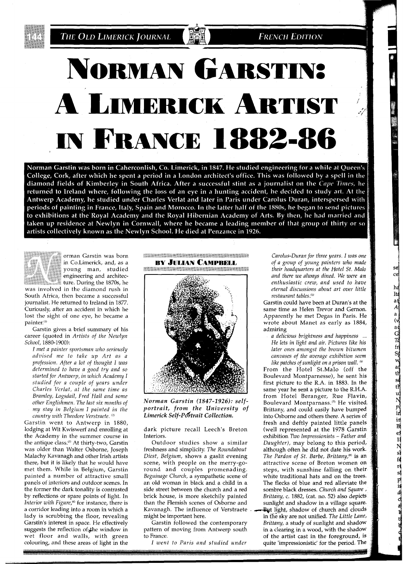**FRENCH EDITION** 

## **NORMAN GARSTINS** A LIMERICK ARTIST **IN FRANCE 1882-86**

Norman Garstin was born in Caherconlish, Co. Limerick, in 1847. He studied engineering for a while at Queen's College, Cork, after which he spent a period in a London architect's office. This was followed by a spell in the diamond fields of Kimberley in South Africa. After a successful stint as a journalist on the Cape Times, he returned to Ireland where, following the loss of an eye in a hunting accident, he decided to study art. At the Antwerp Academy, he studied under Charles Verlat and later in Paris under Carolus Duran, interspersed with periods of painting in France, Italy, Spain and Morocco. In the latter half of the 1880s, he began to send pictures to exhibitions at the Royal Academy and the Royal Hibernian Academy of Arts. By then, he had married and taken up residence at Newlyn in Cornwall, where he became a leading member of that group of thirty or so artists collectively known as the Newlyn School. He died at Penzance in 1926.



orman Garstin was born Co.Limerick, and, as a young man, studied engineering and architecture. During the 1870s, he

was involved in the diamond rush in South Africa, then became a successful journalist. He returned to Ireland in 1877. Curiously, after an accident in which he lost the sight of one eye, he became a painter.")

Garstin gives a brief summary of his career (quoted in *Artists of the Newlyn School,* 1880-1900):

*I met a painter sportsman who seriously advised me to take up Art as a profession. After a lot of thought I was determined to have a good try and so started for Antwerp, in which Academy I studied for a couple of years under Charles Verlat, at the same time as Bramley, Logsdail, Fred Hall and some other Englishmen. The last six months of my stay in Belgium I painted in the country with Theodore Verstraete.* <sup>(2)</sup>

Garstin went to Antwerp in 1880, lodging at Wit Kwiswerf and enrolling at the Academy in the summer course in the antique class.<sup>(3)</sup> At thirty-two, Garstin was older than Walter Osborne, Joseph Malachy Kavanagh and other Irish artists there, but it is likely that he would have met them. While in Belgium, Garstin painted a number of attractive small panels of interiors and outdoor scenes. In the former the dark tonality is contrasted by reflections or spare points of light. In *Interior with Figure*,<sup>(4)</sup> for instance, there is a corridor leading into a room in which a lady is scrubbing the floor, revealing Garstin's interest in space. He effectively suggests the reflection of the window in wet floor and walls, with green colouring, and these areas of light in the

**CONTRACTOR ACTIVITY AND CONTRACTOR BY JULIAN CAMPBELL** 



*Norman Garstin (1847-1926): selfportrait, from the University of*  Limerick Self-Portrait Collection.

dark picture recall Leech's Breton Interiors.

Outdoor studies show a similar freshness and simplicity. *The Roundabout Diest, Belgium,* shows a gaslit evening scene, with people on the merry-goround and couples promenading. *Beguinage Church,* a sympathetic scene of an old woman in black and a child in a side street between the church and a red brick house, is more sketchily painted than the Flemish scenes of Osborne and Kavanagh. The influence of Verstraete might be important here.

Garstin followed the contemporary pattern of moving from Antwerp south to France.

*I went to Paris and studied under* 

*Carolus-Duran for three years. I was one of a group of young painters who made their headquarters at the Hotel St. Malo and there we always dined. We were an enthusiastic crew, and used to have eternal discussions about art over little restaurant tables!5'* 

se

 $_{\rm{ce}}$ 

ha

He a property of the contract of the contract of the contract of the contract of the contract of the contract of the contract of the contract of the contract of the contract of the contract of the contract of the contract

Garstin could have been at Duran's at the same time as Helen Trevor and Gernon. Apparently he met Degas in Paris. He wrote about Manet as early as 1884, admiring

*a delicious brightness and happiness* ... *He lets in light and air. Pictures like his later ones amongst the brown bitumen canvases of the average exhibition seem like patches of sunlight on a prison wall.* 

From the Hotel St.Malo (off the Boulevard Montparnesse), he sent his first picture to the R.A. in 1883. In the same year he sent a picture to the R.H.A. from Hotel Beranger, Rue Flavin, Boulevard Montparnass.<sup>(7)</sup> He visited, Brittany, and could easily have bumped into Osborne and others there. A series of fresh and deftly painted little panels (well represented at the 1978 Garstin exhibition *Two Impressionists* - *Father and Daughter),* may belong to this period, although often he did not date his work. *The Pardon of St. Barbe, Brittany*,<sup>(8)</sup> is an attractive scene of Breton women on steps, with sunshine falling on their white traditional hats and on the trees. The flecks of blue and red alleviate the sombre black dresses. *Church and Square* , *Brittany,* c. 1882, (cat. no. 52) also depicts sunlight and shadow in a village square. But light, shadow of church and clouds in the sky are not unified. The Little Lane, *Brittany,* a study of sunlight and shadow in a clearing in a wood, with the shadow of the artist cast in the foreground, is quite 'impressionistic' for the period. The